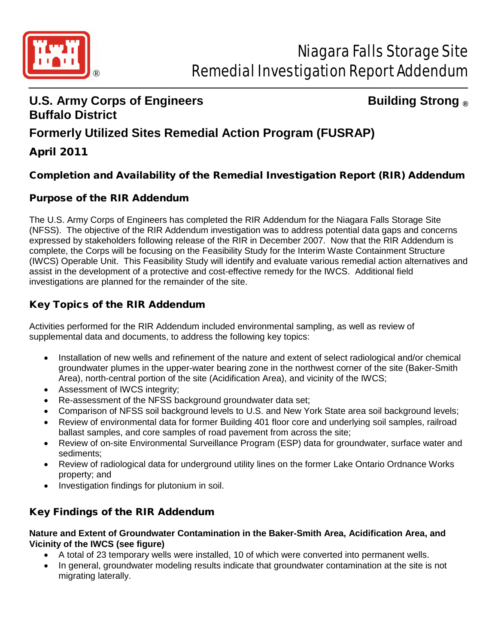

# **U.S. Army Corps of Engineers Building Strong ® Buffalo District**

# **Formerly Utilized Sites Remedial Action Program (FUSRAP)**

## April 2011

## Completion and Availability of the Remedial Investigation Report (RIR) Addendum

### Purpose of the RIR Addendum

The U.S. Army Corps of Engineers has completed the RIR Addendum for the Niagara Falls Storage Site (NFSS). The objective of the RIR Addendum investigation was to address potential data gaps and concerns expressed by stakeholders following release of the RIR in December 2007. Now that the RIR Addendum is complete, the Corps will be focusing on the Feasibility Study for the Interim Waste Containment Structure (IWCS) Operable Unit. This Feasibility Study will identify and evaluate various remedial action alternatives and assist in the development of a protective and cost-effective remedy for the IWCS. Additional field investigations are planned for the remainder of the site.

## Key Topics of the RIR Addendum

Activities performed for the RIR Addendum included environmental sampling, as well as review of supplemental data and documents, to address the following key topics:

- Installation of new wells and refinement of the nature and extent of select radiological and/or chemical groundwater plumes in the upper-water bearing zone in the northwest corner of the site (Baker-Smith Area), north-central portion of the site (Acidification Area), and vicinity of the IWCS;
- Assessment of IWCS integrity;
- Re-assessment of the NFSS background groundwater data set;
- Comparison of NFSS soil background levels to U.S. and New York State area soil background levels;
- Review of environmental data for former Building 401 floor core and underlying soil samples, railroad ballast samples, and core samples of road pavement from across the site;
- Review of on-site Environmental Surveillance Program (ESP) data for groundwater, surface water and sediments;
- Review of radiological data for underground utility lines on the former Lake Ontario Ordnance Works property; and
- Investigation findings for plutonium in soil.

## Key Findings of the RIR Addendum

#### **Nature and Extent of Groundwater Contamination in the Baker-Smith Area, Acidification Area, and Vicinity of the IWCS (see figure)**

- A total of 23 temporary wells were installed, 10 of which were converted into permanent wells.
- In general, groundwater modeling results indicate that groundwater contamination at the site is not migrating laterally.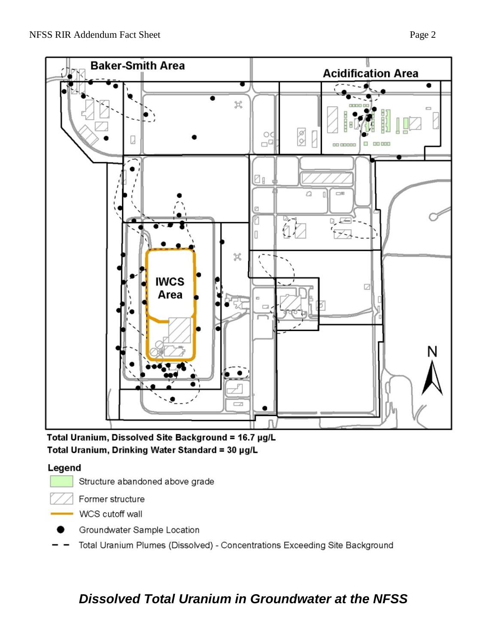

Total Uranium, Dissolved Site Background = 16.7 µg/L Total Uranium, Drinking Water Standard = 30 µg/L

### Legend



Former structure



- Groundwater Sample Location
- Total Uranium Plumes (Dissolved) Concentrations Exceeding Site Background

# *Dissolved Total Uranium in Groundwater at the NFSS*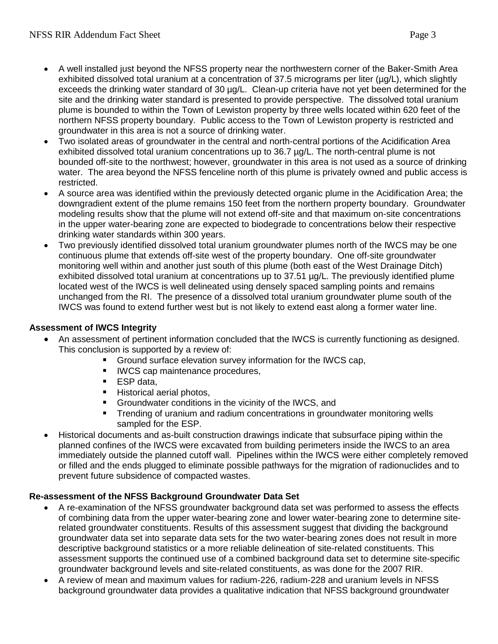- A well installed just beyond the NFSS property near the northwestern corner of the Baker-Smith Area exhibited dissolved total uranium at a concentration of 37.5 micrograms per liter (µg/L), which slightly exceeds the drinking water standard of 30 µg/L. Clean-up criteria have not yet been determined for the site and the drinking water standard is presented to provide perspective. The dissolved total uranium plume is bounded to within the Town of Lewiston property by three wells located within 620 feet of the northern NFSS property boundary. Public access to the Town of Lewiston property is restricted and groundwater in this area is not a source of drinking water.
- Two isolated areas of groundwater in the central and north-central portions of the Acidification Area exhibited dissolved total uranium concentrations up to 36.7 µg/L. The north-central plume is not bounded off-site to the northwest; however, groundwater in this area is not used as a source of drinking water. The area beyond the NFSS fenceline north of this plume is privately owned and public access is restricted.
- A source area was identified within the previously detected organic plume in the Acidification Area; the downgradient extent of the plume remains 150 feet from the northern property boundary. Groundwater modeling results show that the plume will not extend off-site and that maximum on-site concentrations in the upper water-bearing zone are expected to biodegrade to concentrations below their respective drinking water standards within 300 years.
- Two previously identified dissolved total uranium groundwater plumes north of the IWCS may be one continuous plume that extends off-site west of the property boundary. One off-site groundwater monitoring well within and another just south of this plume (both east of the West Drainage Ditch) exhibited dissolved total uranium at concentrations up to 37.51 µg/L. The previously identified plume located west of the IWCS is well delineated using densely spaced sampling points and remains unchanged from the RI. The presence of a dissolved total uranium groundwater plume south of the IWCS was found to extend further west but is not likely to extend east along a former water line.

#### **Assessment of IWCS Integrity**

- An assessment of pertinent information concluded that the IWCS is currently functioning as designed. This conclusion is supported by a review of:
	- Ground surface elevation survey information for the IWCS cap,
	- **IWCS cap maintenance procedures,**
	- **ESP** data,
	- **Historical aerial photos,**
	- Groundwater conditions in the vicinity of the IWCS, and
	- Trending of uranium and radium concentrations in groundwater monitoring wells sampled for the ESP.
- Historical documents and as-built construction drawings indicate that subsurface piping within the planned confines of the IWCS were excavated from building perimeters inside the IWCS to an area immediately outside the planned cutoff wall. Pipelines within the IWCS were either completely removed or filled and the ends plugged to eliminate possible pathways for the migration of radionuclides and to prevent future subsidence of compacted wastes.

#### **Re-assessment of the NFSS Background Groundwater Data Set**

- A re-examination of the NFSS groundwater background data set was performed to assess the effects of combining data from the upper water-bearing zone and lower water-bearing zone to determine siterelated groundwater constituents. Results of this assessment suggest that dividing the background groundwater data set into separate data sets for the two water-bearing zones does not result in more descriptive background statistics or a more reliable delineation of site-related constituents. This assessment supports the continued use of a combined background data set to determine site-specific groundwater background levels and site-related constituents, as was done for the 2007 RIR.
- A review of mean and maximum values for radium-226, radium-228 and uranium levels in NFSS background groundwater data provides a qualitative indication that NFSS background groundwater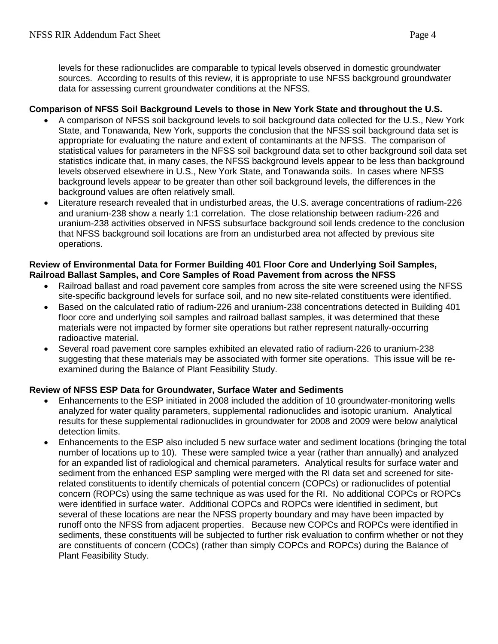levels for these radionuclides are comparable to typical levels observed in domestic groundwater sources. According to results of this review, it is appropriate to use NFSS background groundwater data for assessing current groundwater conditions at the NFSS.

#### **Comparison of NFSS Soil Background Levels to those in New York State and throughout the U.S.**

- A comparison of NFSS soil background levels to soil background data collected for the U.S., New York State, and Tonawanda, New York, supports the conclusion that the NFSS soil background data set is appropriate for evaluating the nature and extent of contaminants at the NFSS. The comparison of statistical values for parameters in the NFSS soil background data set to other background soil data set statistics indicate that, in many cases, the NFSS background levels appear to be less than background levels observed elsewhere in U.S., New York State, and Tonawanda soils. In cases where NFSS background levels appear to be greater than other soil background levels, the differences in the background values are often relatively small.
- Literature research revealed that in undisturbed areas, the U.S. average concentrations of radium-226 and uranium-238 show a nearly 1:1 correlation. The close relationship between radium-226 and uranium-238 activities observed in NFSS subsurface background soil lends credence to the conclusion that NFSS background soil locations are from an undisturbed area not affected by previous site operations.

#### **Review of Environmental Data for Former Building 401 Floor Core and Underlying Soil Samples, Railroad Ballast Samples, and Core Samples of Road Pavement from across the NFSS**

- Railroad ballast and road pavement core samples from across the site were screened using the NFSS site-specific background levels for surface soil, and no new site-related constituents were identified.
- Based on the calculated ratio of radium-226 and uranium-238 concentrations detected in Building 401 floor core and underlying soil samples and railroad ballast samples, it was determined that these materials were not impacted by former site operations but rather represent naturally-occurring radioactive material.
- Several road pavement core samples exhibited an elevated ratio of radium-226 to uranium-238 suggesting that these materials may be associated with former site operations. This issue will be reexamined during the Balance of Plant Feasibility Study.

#### **Review of NFSS ESP Data for Groundwater, Surface Water and Sediments**

- Enhancements to the ESP initiated in 2008 included the addition of 10 groundwater-monitoring wells analyzed for water quality parameters, supplemental radionuclides and isotopic uranium. Analytical results for these supplemental radionuclides in groundwater for 2008 and 2009 were below analytical detection limits.
- Enhancements to the ESP also included 5 new surface water and sediment locations (bringing the total number of locations up to 10). These were sampled twice a year (rather than annually) and analyzed for an expanded list of radiological and chemical parameters. Analytical results for surface water and sediment from the enhanced ESP sampling were merged with the RI data set and screened for siterelated constituents to identify chemicals of potential concern (COPCs) or radionuclides of potential concern (ROPCs) using the same technique as was used for the RI. No additional COPCs or ROPCs were identified in surface water. Additional COPCs and ROPCs were identified in sediment, but several of these locations are near the NFSS property boundary and may have been impacted by runoff onto the NFSS from adjacent properties. Because new COPCs and ROPCs were identified in sediments, these constituents will be subjected to further risk evaluation to confirm whether or not they are constituents of concern (COCs) (rather than simply COPCs and ROPCs) during the Balance of Plant Feasibility Study.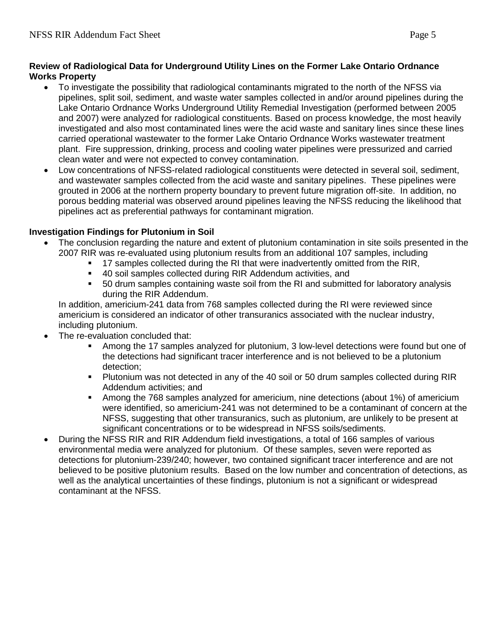#### **Review of Radiological Data for Underground Utility Lines on the Former Lake Ontario Ordnance Works Property**

- To investigate the possibility that radiological contaminants migrated to the north of the NFSS via pipelines, split soil, sediment, and waste water samples collected in and/or around pipelines during the Lake Ontario Ordnance Works Underground Utility Remedial Investigation (performed between 2005 and 2007) were analyzed for radiological constituents. Based on process knowledge, the most heavily investigated and also most contaminated lines were the acid waste and sanitary lines since these lines carried operational wastewater to the former Lake Ontario Ordnance Works wastewater treatment plant. Fire suppression, drinking, process and cooling water pipelines were pressurized and carried clean water and were not expected to convey contamination.
- Low concentrations of NFSS-related radiological constituents were detected in several soil, sediment, and wastewater samples collected from the acid waste and sanitary pipelines. These pipelines were grouted in 2006 at the northern property boundary to prevent future migration off-site. In addition, no porous bedding material was observed around pipelines leaving the NFSS reducing the likelihood that pipelines act as preferential pathways for contaminant migration.

#### **Investigation Findings for Plutonium in Soil**

- The conclusion regarding the nature and extent of plutonium contamination in site soils presented in the 2007 RIR was re-evaluated using plutonium results from an additional 107 samples, including
	- <sup>1</sup> 17 samples collected during the RI that were inadvertently omitted from the RIR,
	- 40 soil samples collected during RIR Addendum activities, and
	- 50 drum samples containing waste soil from the RI and submitted for laboratory analysis during the RIR Addendum.

In addition, americium-241 data from 768 samples collected during the RI were reviewed since americium is considered an indicator of other transuranics associated with the nuclear industry, including plutonium.

- The re-evaluation concluded that:
	- Among the 17 samples analyzed for plutonium, 3 low-level detections were found but one of the detections had significant tracer interference and is not believed to be a plutonium detection;
	- Plutonium was not detected in any of the 40 soil or 50 drum samples collected during RIR Addendum activities; and
	- Among the 768 samples analyzed for americium, nine detections (about 1%) of americium were identified, so americium-241 was not determined to be a contaminant of concern at the NFSS, suggesting that other transuranics, such as plutonium, are unlikely to be present at significant concentrations or to be widespread in NFSS soils/sediments.
- During the NFSS RIR and RIR Addendum field investigations, a total of 166 samples of various environmental media were analyzed for plutonium. Of these samples, seven were reported as detections for plutonium-239/240; however, two contained significant tracer interference and are not believed to be positive plutonium results. Based on the low number and concentration of detections, as well as the analytical uncertainties of these findings, plutonium is not a significant or widespread contaminant at the NFSS.